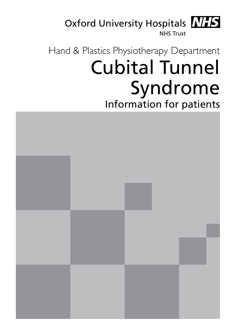

# Hand & Plastics Physiotherapy Department Cubital Tunnel Syndrome Information for patients

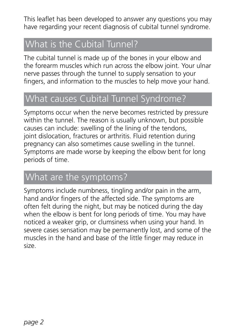This leaflet has been developed to answer any questions you may have regarding your recent diagnosis of cubital tunnel syndrome.

# What is the Cubital Tunnel?

The cubital tunnel is made up of the bones in your elbow and the forearm muscles which run across the elbow joint. Your ulnar nerve passes through the tunnel to supply sensation to your fingers, and information to the muscles to help move your hand.

# What causes Cubital Tunnel Syndrome?

Symptoms occur when the nerve becomes restricted by pressure within the tunnel. The reason is usually unknown, but possible causes can include: swelling of the lining of the tendons, joint dislocation, fractures or arthritis. Fluid retention during pregnancy can also sometimes cause swelling in the tunnel. Symptoms are made worse by keeping the elbow bent for long periods of time.

# What are the symptoms?

Symptoms include numbness, tingling and/or pain in the arm, hand and/or fingers of the affected side. The symptoms are often felt during the night, but may be noticed during the day when the elbow is bent for long periods of time. You may have noticed a weaker grip, or clumsiness when using your hand. In severe cases sensation may be permanently lost, and some of the muscles in the hand and base of the little finger may reduce in size.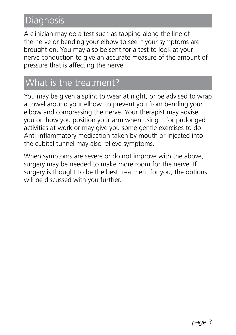# **Diagnosis**

A clinician may do a test such as tapping along the line of the nerve or bending your elbow to see if your symptoms are brought on. You may also be sent for a test to look at your nerve conduction to give an accurate measure of the amount of pressure that is affecting the nerve.

# What is the treatment?

You may be given a splint to wear at night, or be advised to wrap a towel around your elbow, to prevent you from bending your elbow and compressing the nerve. Your therapist may advise you on how you position your arm when using it for prolonged activities at work or may give you some gentle exercises to do. Anti-inflammatory medication taken by mouth or injected into the cubital tunnel may also relieve symptoms.

When symptoms are severe or do not improve with the above, surgery may be needed to make more room for the nerve. If surgery is thought to be the best treatment for you, the options will be discussed with you further.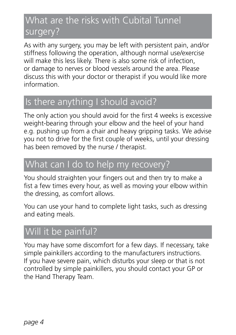# What are the risks with Cubital Tunnel surgery?

As with any surgery, you may be left with persistent pain, and/or stiffness following the operation, although normal use/exercise will make this less likely. There is also some risk of infection, or damage to nerves or blood vessels around the area. Please discuss this with your doctor or therapist if you would like more information.

# Is there anything I should avoid?

The only action you should avoid for the first 4 weeks is excessive weight-bearing through your elbow and the heel of your hand e.g. pushing up from a chair and heavy gripping tasks. We advise you not to drive for the first couple of weeks, until your dressing has been removed by the nurse / therapist.

# What can I do to help my recovery?

You should straighten your fingers out and then try to make a fist a few times every hour, as well as moving your elbow within the dressing, as comfort allows.

You can use your hand to complete light tasks, such as dressing and eating meals.

# Will it be painful?

You may have some discomfort for a few days. If necessary, take simple painkillers according to the manufacturers instructions. If you have severe pain, which disturbs your sleep or that is not controlled by simple painkillers, you should contact your GP or the Hand Therapy Team.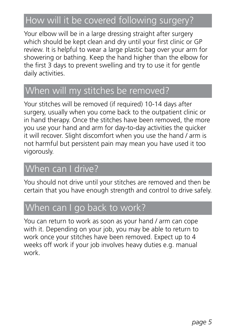# How will it be covered following surgery?

Your elbow will be in a large dressing straight after surgery which should be kept clean and dry until your first clinic or GP review. It is helpful to wear a large plastic bag over your arm for showering or bathing. Keep the hand higher than the elbow for the first 3 days to prevent swelling and try to use it for gentle daily activities.

### When will my stitches be removed?

Your stitches will be removed (if required) 10-14 days after surgery, usually when you come back to the outpatient clinic or in hand therapy. Once the stitches have been removed, the more you use your hand and arm for day-to-day activities the quicker it will recover. Slight discomfort when you use the hand / arm is not harmful but persistent pain may mean you have used it too vigorously.

# When can I drive?

You should not drive until your stitches are removed and then be certain that you have enough strength and control to drive safely.

# When can I go back to work?

You can return to work as soon as your hand / arm can cope with it. Depending on your job, you may be able to return to work once your stitches have been removed. Expect up to 4 weeks off work if your job involves heavy duties e.g. manual work.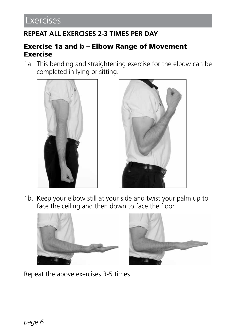### **REPEAT ALL EXERCISES 2-3 TIMES PER DAY**

#### Exercise 1a and b – Elbow Range of Movement Exercise

1a. This bending and straightening exercise for the elbow can be completed in lying or sitting.





1b. Keep your elbow still at your side and twist your palm up to face the ceiling and then down to face the floor.





Repeat the above exercises 3-5 times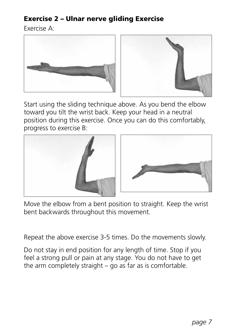### Exercise 2 – Ulnar nerve gliding Exercise

Exercise A:





Start using the sliding technique above. As you bend the elbow toward you tilt the wrist back. Keep your head in a neutral position during this exercise. Once you can do this comfortably, progress to exercise B:





Move the elbow from a bent position to straight. Keep the wrist bent backwards throughout this movement.

Repeat the above exercise 3-5 times. Do the movements slowly.

Do not stay in end position for any length of time. Stop if you feel a strong pull or pain at any stage. You do not have to get the arm completely straight – go as far as is comfortable.